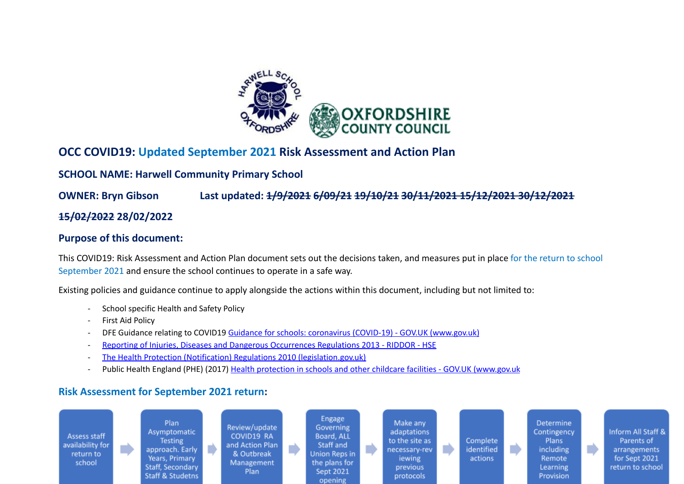

## **OCC COVID19: Updated September 2021 Risk Assessment and Action Plan**

**SCHOOL NAME: Harwell Community Primary School**

**OWNER: Bryn Gibson Last updated: 1/9/2021 6/09/21 19/10/21 30/11/2021 15/12/2021 30/12/2021**

**15/02/2022 28/02/2022**

## **Purpose of this document:**

This COVID19: Risk Assessment and Action Plan document sets out the decisions taken, and measures put in place for the return to school September 2021 and ensure the school continues to operate in a safe way.

Existing policies and guidance continue to apply alongside the actions within this document, including but not limited to:

- School specific Health and Safety Policy
- First Aid Policy
- DFE Guidance relating to COVID19 Guidance for schools: coronavirus (COVID-19) GOV.UK [\(www.gov.uk\)](https://www.gov.uk/government/collections/guidance-for-schools-coronavirus-covid-19)
- Reporting of Injuries, Diseases and Dangerous [Occurrences](https://www.hse.gov.uk/riddor/index.htm?utm_source=hse.gov.uk&utm_medium=refferal&utm_campaign=riddor&utm_content=home-page-info) Regulations 2013 RIDDOR HSE
- The Health Protection (Notification) Regulations 2010 [\(legislation.gov.uk\)](https://www.legislation.gov.uk/uksi/2010/659/regulation/5/made)
- Public Health England (PHE) (2017) Health protection in schools and other childcare facilities GOV.UK [\(www.gov.uk](https://www.gov.uk/government/publications/health-protection-in-schools-and-other-childcare-facilities)

## **Risk Assessment for September 2021 return:**

| Assess staff<br>availability for<br>return to<br>school |  | Plan<br>Asymptomatic<br><b>Testing</b><br>approach. Early<br>Years, Primary<br>Staff, Secondary<br>Staff & Studetns |  | Review/update<br>COVID19 RA<br>and Action Plan<br>& Outbreak<br>Management<br>Plan |  | Engage<br>Governing<br>Board, ALL<br>Staff and<br>Union Reps in<br>the plans for<br>Sept 2021<br>opening |  | Make any<br>adaptations<br>to the site as<br>necessary-rev<br><i>iewing</i><br>previous<br>protocols |  | Complete<br>identified<br>actions |  | Determine<br>Contingency<br>Plans<br>including<br>Remote<br>Learning<br>Provision |  | Inform All Staff &<br>Parents of<br>arrangements<br>for Sept 2021<br>return to school |
|---------------------------------------------------------|--|---------------------------------------------------------------------------------------------------------------------|--|------------------------------------------------------------------------------------|--|----------------------------------------------------------------------------------------------------------|--|------------------------------------------------------------------------------------------------------|--|-----------------------------------|--|-----------------------------------------------------------------------------------|--|---------------------------------------------------------------------------------------|
|---------------------------------------------------------|--|---------------------------------------------------------------------------------------------------------------------|--|------------------------------------------------------------------------------------|--|----------------------------------------------------------------------------------------------------------|--|------------------------------------------------------------------------------------------------------|--|-----------------------------------|--|-----------------------------------------------------------------------------------|--|---------------------------------------------------------------------------------------|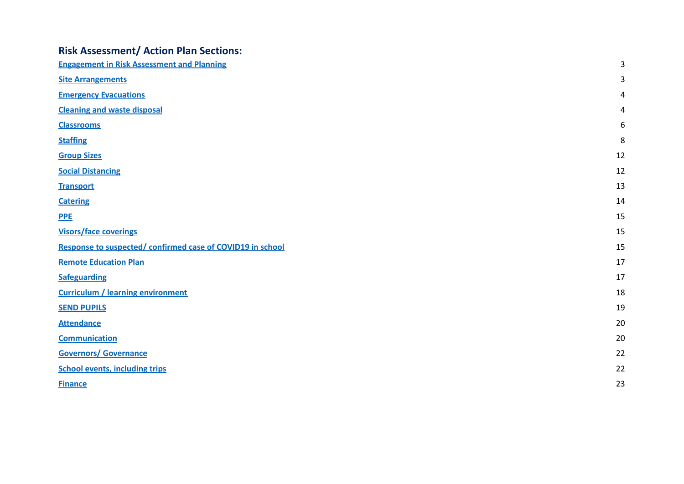## **Risk Assessment/ Action Plan Sections:**

| <b>Engagement in Risk Assessment and Planning</b>         | 3  |
|-----------------------------------------------------------|----|
| <b>Site Arrangements</b>                                  | 3  |
| <b>Emergency Evacuations</b>                              | 4  |
| <b>Cleaning and waste disposal</b>                        | 4  |
| <b>Classrooms</b>                                         | 6  |
| <b>Staffing</b>                                           | 8  |
| <b>Group Sizes</b>                                        | 12 |
| <b>Social Distancing</b>                                  | 12 |
| <b>Transport</b>                                          | 13 |
| <b>Catering</b>                                           | 14 |
| <b>PPE</b>                                                | 15 |
| <b>Visors/face coverings</b>                              | 15 |
| Response to suspected/confirmed case of COVID19 in school | 15 |
| <b>Remote Education Plan</b>                              | 17 |
| <b>Safeguarding</b>                                       | 17 |
| <b>Curriculum / learning environment</b>                  | 18 |
| <b>SEND PUPILS</b>                                        | 19 |
| <b>Attendance</b>                                         | 20 |
| <b>Communication</b>                                      | 20 |
| <b>Governors/ Governance</b>                              | 22 |
| <b>School events, including trips</b>                     | 22 |
| <b>Finance</b>                                            | 23 |
|                                                           |    |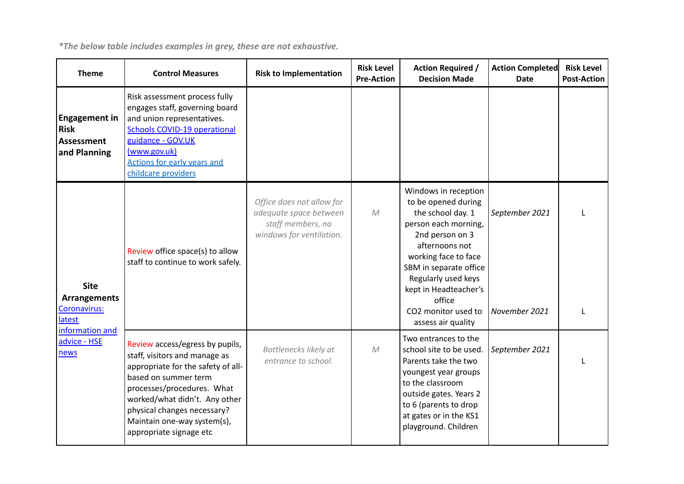*\*The below table includes examples in grey, these are not exhaustive.*

| <b>Theme</b>                                                             | <b>Control Measures</b>                                                                                                                                                                                                                                                                | <b>Risk to Implementation</b>                                                                        | <b>Risk Level</b><br><b>Pre-Action</b> | <b>Action Required /</b><br><b>Decision Made</b>                                                                                                                                                                                                                                       | <b>Action Completed</b><br>Date | <b>Risk Level</b><br><b>Post-Action</b> |
|--------------------------------------------------------------------------|----------------------------------------------------------------------------------------------------------------------------------------------------------------------------------------------------------------------------------------------------------------------------------------|------------------------------------------------------------------------------------------------------|----------------------------------------|----------------------------------------------------------------------------------------------------------------------------------------------------------------------------------------------------------------------------------------------------------------------------------------|---------------------------------|-----------------------------------------|
| <b>Engagement in</b><br><b>Risk</b><br><b>Assessment</b><br>and Planning | Risk assessment process fully<br>engages staff, governing board<br>and union representatives.<br><b>Schools COVID-19 operational</b><br>guidance - GOV.UK<br>(www.gov.uk)<br><b>Actions for early years and</b><br>childcare providers                                                 |                                                                                                      |                                        |                                                                                                                                                                                                                                                                                        |                                 |                                         |
| <b>Site</b><br><b>Arrangements</b><br>Coronavirus:<br><b>latest</b>      | Review office space(s) to allow<br>staff to continue to work safely.                                                                                                                                                                                                                   | Office does not allow for<br>adequate space between<br>staff members, no<br>windows for ventilation. | ${\cal M}$                             | Windows in reception<br>to be opened during<br>the school day. 1<br>person each morning,<br>2nd person on 3<br>afternoons not<br>working face to face<br>SBM in separate office<br>Regularly used keys<br>kept in Headteacher's<br>office<br>CO2 monitor used to<br>assess air quality | September 2021<br>November 2021 |                                         |
| information and<br>advice - HSE<br>news                                  | Review access/egress by pupils,<br>staff, visitors and manage as<br>appropriate for the safety of all-<br>based on summer term<br>processes/procedures. What<br>worked/what didn't. Any other<br>physical changes necessary?<br>Maintain one-way system(s),<br>appropriate signage etc | Bottlenecks likely at<br>entrance to school.                                                         | ${\cal M}$                             | Two entrances to the<br>school site to be used.<br>Parents take the two<br>youngest year groups<br>to the classroom<br>outside gates. Years 2<br>to 6 (parents to drop<br>at gates or in the KS1<br>playground. Children                                                               | September 2021                  |                                         |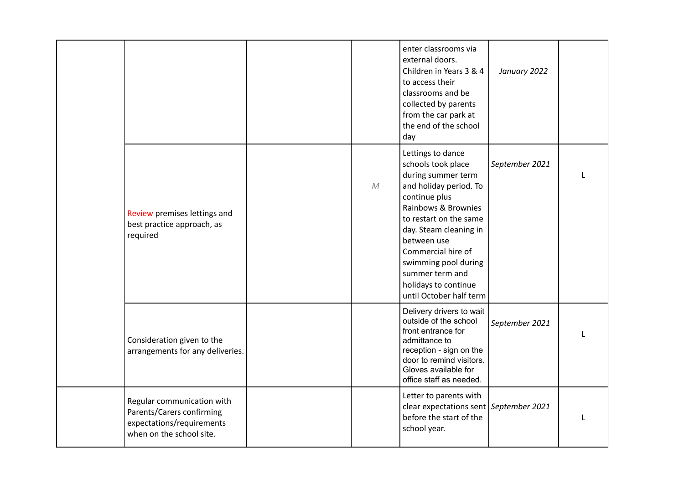|                                                                                                                  |            | enter classrooms via<br>external doors.<br>Children in Years 3 & 4<br>to access their<br>classrooms and be<br>collected by parents<br>from the car park at<br>the end of the school<br>day                                                                                                                             | January 2022   |              |
|------------------------------------------------------------------------------------------------------------------|------------|------------------------------------------------------------------------------------------------------------------------------------------------------------------------------------------------------------------------------------------------------------------------------------------------------------------------|----------------|--------------|
| Review premises lettings and<br>best practice approach, as<br>required                                           | ${\cal M}$ | Lettings to dance<br>schools took place<br>during summer term<br>and holiday period. To<br>continue plus<br>Rainbows & Brownies<br>to restart on the same<br>day. Steam cleaning in<br>between use<br>Commercial hire of<br>swimming pool during<br>summer term and<br>holidays to continue<br>until October half term | September 2021 | $\mathbf{I}$ |
| Consideration given to the<br>arrangements for any deliveries.                                                   |            | Delivery drivers to wait<br>outside of the school<br>front entrance for<br>admittance to<br>reception - sign on the<br>door to remind visitors.<br>Gloves available for<br>office staff as needed.                                                                                                                     | September 2021 |              |
| Regular communication with<br>Parents/Carers confirming<br>expectations/requirements<br>when on the school site. |            | Letter to parents with<br>clear expectations sent September 2021<br>before the start of the<br>school year.                                                                                                                                                                                                            |                | L            |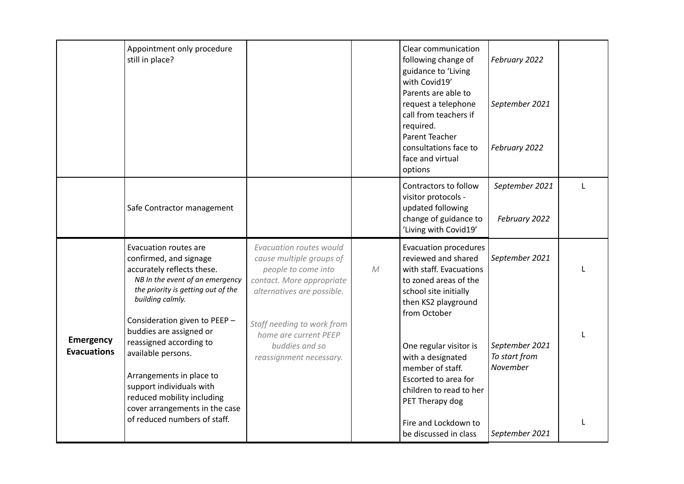|                                        | Appointment only procedure<br>still in place?                                                                                                                                                                                                                                                                                                                                                                                                   |                                                                                                                                                                                                                                           |            | Clear communication<br>following change of<br>guidance to 'Living<br>with Covid19'<br>Parents are able to<br>request a telephone<br>call from teachers if<br>required.<br>Parent Teacher<br>consultations face to<br>face and virtual<br>options                                                                                                                  | February 2022<br>September 2021<br>February 2022                                |  |
|----------------------------------------|-------------------------------------------------------------------------------------------------------------------------------------------------------------------------------------------------------------------------------------------------------------------------------------------------------------------------------------------------------------------------------------------------------------------------------------------------|-------------------------------------------------------------------------------------------------------------------------------------------------------------------------------------------------------------------------------------------|------------|-------------------------------------------------------------------------------------------------------------------------------------------------------------------------------------------------------------------------------------------------------------------------------------------------------------------------------------------------------------------|---------------------------------------------------------------------------------|--|
|                                        | Safe Contractor management                                                                                                                                                                                                                                                                                                                                                                                                                      |                                                                                                                                                                                                                                           |            | Contractors to follow<br>visitor protocols -<br>updated following<br>change of guidance to<br>'Living with Covid19'                                                                                                                                                                                                                                               | September 2021<br>February 2022                                                 |  |
| <b>Emergency</b><br><b>Evacuations</b> | Evacuation routes are<br>confirmed, and signage<br>accurately reflects these.<br>NB In the event of an emergency<br>the priority is getting out of the<br>building calmly.<br>Consideration given to PEEP -<br>buddies are assigned or<br>reassigned according to<br>available persons.<br>Arrangements in place to<br>support individuals with<br>reduced mobility including<br>cover arrangements in the case<br>of reduced numbers of staff. | Evacuation routes would<br>cause multiple groups of<br>people to come into<br>contact. More appropriate<br>alternatives are possible.<br>Staff needing to work from<br>home are current PEEP<br>buddies and so<br>reassignment necessary. | ${\cal M}$ | <b>Evacuation procedures</b><br>reviewed and shared<br>with staff. Evacuations<br>to zoned areas of the<br>school site initially<br>then KS2 playground<br>from October<br>One regular visitor is<br>with a designated<br>member of staff.<br>Escorted to area for<br>children to read to her<br>PET Therapy dog<br>Fire and Lockdown to<br>be discussed in class | September 2021<br>September 2021<br>To start from<br>November<br>September 2021 |  |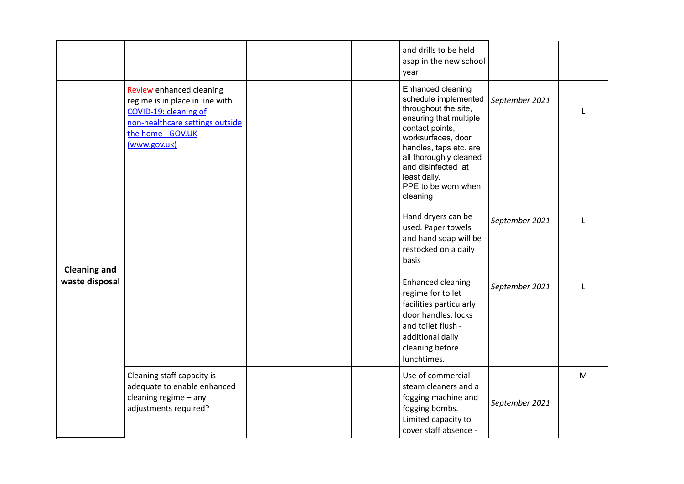|                     |                                                                                                                                                              |  | and drills to be held<br>asap in the new school<br>year                                                                                                                                                                                                           |                |   |
|---------------------|--------------------------------------------------------------------------------------------------------------------------------------------------------------|--|-------------------------------------------------------------------------------------------------------------------------------------------------------------------------------------------------------------------------------------------------------------------|----------------|---|
|                     | Review enhanced cleaning<br>regime is in place in line with<br>COVID-19: cleaning of<br>non-healthcare settings outside<br>the home - GOV.UK<br>(www.gov.uk) |  | Enhanced cleaning<br>schedule implemented<br>throughout the site,<br>ensuring that multiple<br>contact points,<br>worksurfaces, door<br>handles, taps etc. are<br>all thoroughly cleaned<br>and disinfected at<br>least daily.<br>PPE to be worn when<br>cleaning | September 2021 |   |
| <b>Cleaning and</b> |                                                                                                                                                              |  | Hand dryers can be<br>used. Paper towels<br>and hand soap will be<br>restocked on a daily<br>basis                                                                                                                                                                | September 2021 |   |
| waste disposal      |                                                                                                                                                              |  | <b>Enhanced cleaning</b><br>regime for toilet<br>facilities particularly<br>door handles, locks<br>and toilet flush -<br>additional daily<br>cleaning before<br>lunchtimes.                                                                                       | September 2021 |   |
|                     | Cleaning staff capacity is<br>adequate to enable enhanced<br>cleaning regime $-$ any<br>adjustments required?                                                |  | Use of commercial<br>steam cleaners and a<br>fogging machine and<br>fogging bombs.<br>Limited capacity to<br>cover staff absence -                                                                                                                                | September 2021 | M |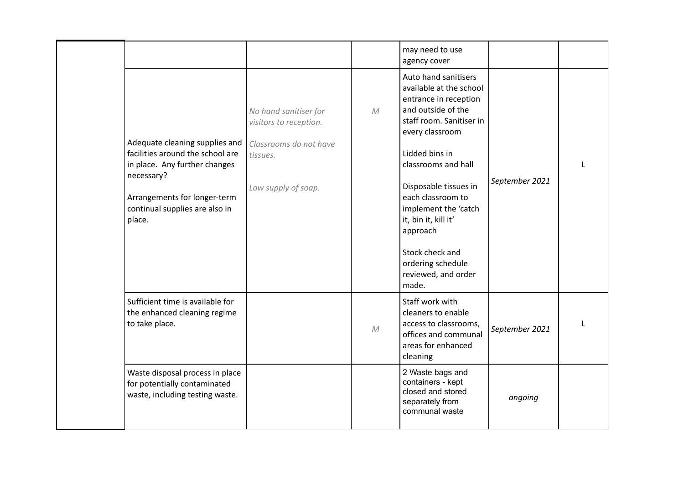|                                                                                                                                                                                               |                                                                                                              |              | may need to use<br>agency cover                                                                                                                                                                                                                                                                                                                                          |                |  |
|-----------------------------------------------------------------------------------------------------------------------------------------------------------------------------------------------|--------------------------------------------------------------------------------------------------------------|--------------|--------------------------------------------------------------------------------------------------------------------------------------------------------------------------------------------------------------------------------------------------------------------------------------------------------------------------------------------------------------------------|----------------|--|
| Adequate cleaning supplies and<br>facilities around the school are<br>in place. Any further changes<br>necessary?<br>Arrangements for longer-term<br>continual supplies are also in<br>place. | No hand sanitiser for<br>visitors to reception.<br>Classrooms do not have<br>tissues.<br>Low supply of soap. | M            | Auto hand sanitisers<br>available at the school<br>entrance in reception<br>and outside of the<br>staff room. Sanitiser in<br>every classroom<br>Lidded bins in<br>classrooms and hall<br>Disposable tissues in<br>each classroom to<br>implement the 'catch<br>it, bin it, kill it'<br>approach<br>Stock check and<br>ordering schedule<br>reviewed, and order<br>made. | September 2021 |  |
| Sufficient time is available for<br>the enhanced cleaning regime<br>to take place.                                                                                                            |                                                                                                              | $\mathcal M$ | Staff work with<br>cleaners to enable<br>access to classrooms,<br>offices and communal<br>areas for enhanced<br>cleaning                                                                                                                                                                                                                                                 | September 2021 |  |
| Waste disposal process in place<br>for potentially contaminated<br>waste, including testing waste.                                                                                            |                                                                                                              |              | 2 Waste bags and<br>containers - kept<br>closed and stored<br>separately from<br>communal waste                                                                                                                                                                                                                                                                          | ongoing        |  |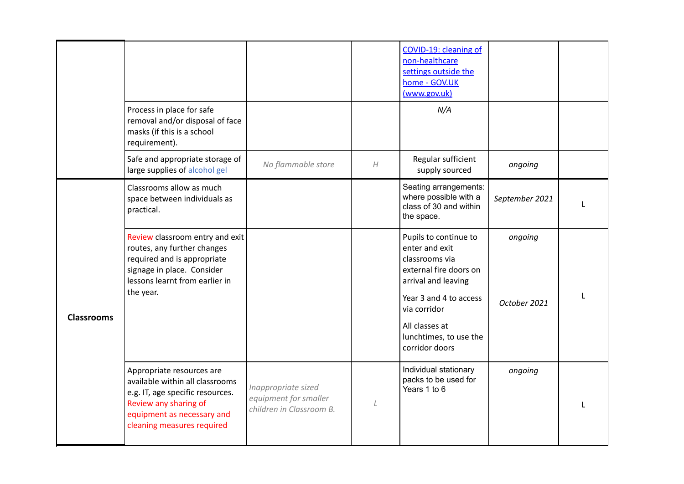|                   |                                                                                                                                                                            |                                                                          |   | COVID-19: cleaning of<br>non-healthcare<br>settings outside the<br>home - GOV.UK<br>(www.gov.uk)                                                                                                 |                         |  |
|-------------------|----------------------------------------------------------------------------------------------------------------------------------------------------------------------------|--------------------------------------------------------------------------|---|--------------------------------------------------------------------------------------------------------------------------------------------------------------------------------------------------|-------------------------|--|
|                   | Process in place for safe<br>removal and/or disposal of face<br>masks (if this is a school<br>requirement).                                                                |                                                                          |   | N/A                                                                                                                                                                                              |                         |  |
|                   | Safe and appropriate storage of<br>large supplies of alcohol gel                                                                                                           | No flammable store                                                       | H | Regular sufficient<br>supply sourced                                                                                                                                                             | ongoing                 |  |
|                   | Classrooms allow as much<br>space between individuals as<br>practical.                                                                                                     |                                                                          |   | Seating arrangements:<br>where possible with a<br>class of 30 and within<br>the space.                                                                                                           | September 2021          |  |
| <b>Classrooms</b> | Review classroom entry and exit<br>routes, any further changes<br>required and is appropriate<br>signage in place. Consider<br>lessons learnt from earlier in<br>the year. |                                                                          |   | Pupils to continue to<br>enter and exit<br>classrooms via<br>external fire doors on<br>arrival and leaving<br>Year 3 and 4 to access<br>via corridor<br>All classes at<br>lunchtimes, to use the | ongoing<br>October 2021 |  |
|                   | Appropriate resources are<br>available within all classrooms                                                                                                               |                                                                          |   | corridor doors<br>Individual stationary<br>packs to be used for                                                                                                                                  | ongoing                 |  |
|                   | e.g. IT, age specific resources.<br>Review any sharing of<br>equipment as necessary and<br>cleaning measures required                                                      | Inappropriate sized<br>equipment for smaller<br>children in Classroom B. | L | Years 1 to 6                                                                                                                                                                                     |                         |  |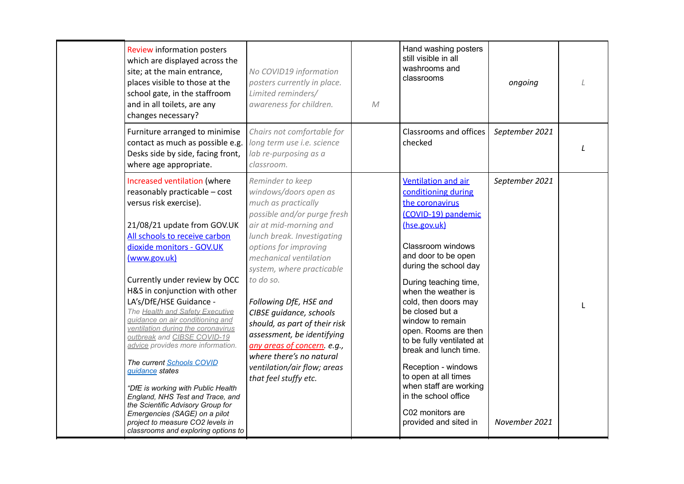| <b>Review information posters</b><br>which are displayed across the<br>site; at the main entrance,<br>places visible to those at the<br>school gate, in the staffroom<br>and in all toilets, are any<br>changes necessary?                                                                                                                                                                                                                                                                                                                                                                                                                                                                                                                                    | No COVID19 information<br>posters currently in place.<br>Limited reminders/<br>awareness for children.                                                                                                                                                                                                                                                                                                                                                                                      | ${\cal M}$ | Hand washing posters<br>still visible in all<br>washrooms and<br>classrooms                                                                                                                                                                                                                                                                                                                                                                                                                                                 | ongoing                         |  |
|---------------------------------------------------------------------------------------------------------------------------------------------------------------------------------------------------------------------------------------------------------------------------------------------------------------------------------------------------------------------------------------------------------------------------------------------------------------------------------------------------------------------------------------------------------------------------------------------------------------------------------------------------------------------------------------------------------------------------------------------------------------|---------------------------------------------------------------------------------------------------------------------------------------------------------------------------------------------------------------------------------------------------------------------------------------------------------------------------------------------------------------------------------------------------------------------------------------------------------------------------------------------|------------|-----------------------------------------------------------------------------------------------------------------------------------------------------------------------------------------------------------------------------------------------------------------------------------------------------------------------------------------------------------------------------------------------------------------------------------------------------------------------------------------------------------------------------|---------------------------------|--|
| Furniture arranged to minimise<br>contact as much as possible e.g.<br>Desks side by side, facing front,<br>where age appropriate.                                                                                                                                                                                                                                                                                                                                                                                                                                                                                                                                                                                                                             | Chairs not comfortable for<br>long term use i.e. science<br>lab re-purposing as a<br>classroom.                                                                                                                                                                                                                                                                                                                                                                                             |            | Classrooms and offices<br>checked                                                                                                                                                                                                                                                                                                                                                                                                                                                                                           | September 2021                  |  |
| Increased ventilation (where<br>reasonably practicable - cost<br>versus risk exercise).<br>21/08/21 update from GOV.UK<br>All schools to receive carbon<br>dioxide monitors - GOV.UK<br>(www.gov.uk)<br>Currently under review by OCC<br>H&S in conjunction with other<br>LA's/DfE/HSE Guidance -<br>The Health and Safety Executive<br>guidance on air conditioning and<br>ventilation during the coronavirus<br>outbreak and CIBSE COVID-19<br>advice provides more information.<br>The current Schools COVID<br>guidance states<br>"DfE is working with Public Health<br>England, NHS Test and Trace, and<br>the Scientific Advisory Group for<br>Emergencies (SAGE) on a pilot<br>project to measure CO2 levels in<br>classrooms and exploring options to | Reminder to keep<br>windows/doors open as<br>much as practically<br>possible and/or purge fresh<br>air at mid-morning and<br>lunch break. Investigating<br>options for improving<br>mechanical ventilation<br>system, where practicable<br>to do so.<br>Following DfE, HSE and<br>CIBSE guidance, schools<br>should, as part of their risk<br>assessment, be identifying<br>any areas of concern. e.g.,<br>where there's no natural<br>ventilation/air flow; areas<br>that feel stuffy etc. |            | <b>Ventilation and air</b><br>conditioning during<br>the coronavirus<br>(COVID-19) pandemic<br>(hse.gov.uk)<br>Classroom windows<br>and door to be open<br>during the school day<br>During teaching time,<br>when the weather is<br>cold, then doors may<br>be closed but a<br>window to remain<br>open. Rooms are then<br>to be fully ventilated at<br>break and lunch time.<br>Reception - windows<br>to open at all times<br>when staff are working<br>in the school office<br>C02 monitors are<br>provided and sited in | September 2021<br>November 2021 |  |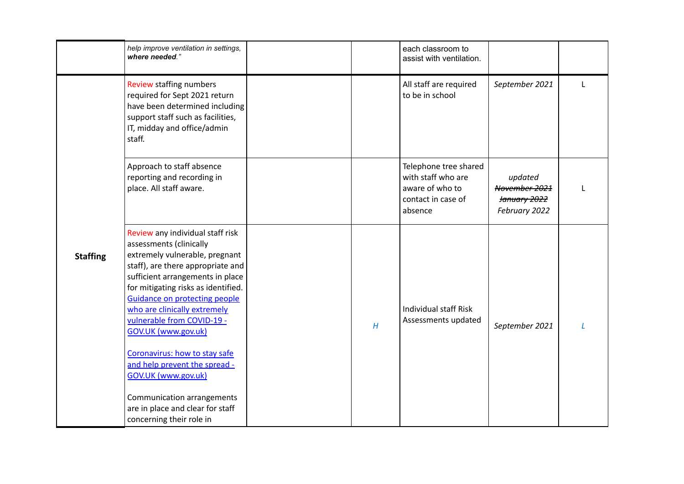|                 | help improve ventilation in settings,<br>where needed."                                                                                                                                                                                                                                                                                                                                                                                                                                                                                         |   | each classroom to<br>assist with ventilation.                                                   |                                                                  |   |
|-----------------|-------------------------------------------------------------------------------------------------------------------------------------------------------------------------------------------------------------------------------------------------------------------------------------------------------------------------------------------------------------------------------------------------------------------------------------------------------------------------------------------------------------------------------------------------|---|-------------------------------------------------------------------------------------------------|------------------------------------------------------------------|---|
|                 | Review staffing numbers<br>required for Sept 2021 return<br>have been determined including<br>support staff such as facilities,<br>IT, midday and office/admin<br>staff.                                                                                                                                                                                                                                                                                                                                                                        |   | All staff are required<br>to be in school                                                       | September 2021                                                   | L |
|                 | Approach to staff absence<br>reporting and recording in<br>place. All staff aware.                                                                                                                                                                                                                                                                                                                                                                                                                                                              |   | Telephone tree shared<br>with staff who are<br>aware of who to<br>contact in case of<br>absence | updated<br>November 2021<br><b>January 2022</b><br>February 2022 |   |
| <b>Staffing</b> | Review any individual staff risk<br>assessments (clinically<br>extremely vulnerable, pregnant<br>staff), are there appropriate and<br>sufficient arrangements in place<br>for mitigating risks as identified.<br><b>Guidance on protecting people</b><br>who are clinically extremely<br>vulnerable from COVID-19 -<br><b>GOV.UK (www.gov.uk)</b><br>Coronavirus: how to stay safe<br>and help prevent the spread -<br><b>GOV.UK (www.gov.uk)</b><br>Communication arrangements<br>are in place and clear for staff<br>concerning their role in | H | Individual staff Risk<br>Assessments updated                                                    | September 2021                                                   |   |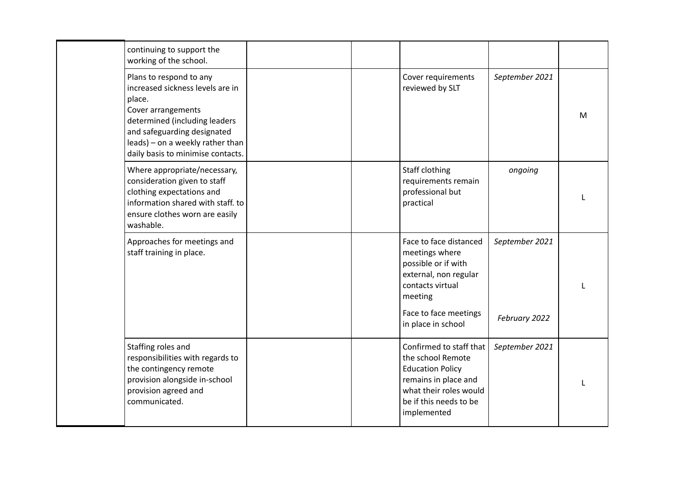| continuing to support the<br>working of the school.                                                                                                                                                                                  |  |                                                                                                                                                                        |                                 |   |
|--------------------------------------------------------------------------------------------------------------------------------------------------------------------------------------------------------------------------------------|--|------------------------------------------------------------------------------------------------------------------------------------------------------------------------|---------------------------------|---|
| Plans to respond to any<br>increased sickness levels are in<br>place.<br>Cover arrangements<br>determined (including leaders<br>and safeguarding designated<br>leads) - on a weekly rather than<br>daily basis to minimise contacts. |  | Cover requirements<br>reviewed by SLT                                                                                                                                  | September 2021                  | M |
| Where appropriate/necessary,<br>consideration given to staff<br>clothing expectations and<br>information shared with staff. to<br>ensure clothes worn are easily<br>washable.                                                        |  | Staff clothing<br>requirements remain<br>professional but<br>practical                                                                                                 | ongoing                         |   |
| Approaches for meetings and<br>staff training in place.                                                                                                                                                                              |  | Face to face distanced<br>meetings where<br>possible or if with<br>external, non regular<br>contacts virtual<br>meeting<br>Face to face meetings<br>in place in school | September 2021<br>February 2022 |   |
| Staffing roles and<br>responsibilities with regards to<br>the contingency remote<br>provision alongside in-school<br>provision agreed and<br>communicated.                                                                           |  | Confirmed to staff that<br>the school Remote<br><b>Education Policy</b><br>remains in place and<br>what their roles would<br>be if this needs to be<br>implemented     | September 2021                  |   |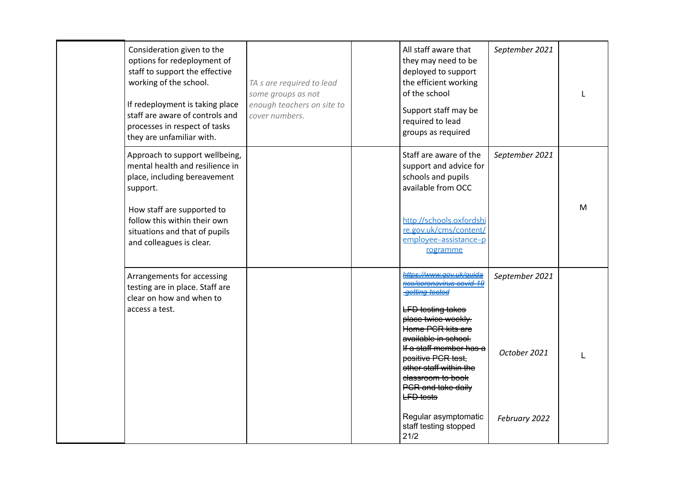| Consideration given to the<br>options for redeployment of<br>staff to support the effective<br>working of the school.<br>If redeployment is taking place<br>staff are aware of controls and<br>processes in respect of tasks<br>they are unfamiliar with. | TA s are required to lead<br>some groups as not<br>enough teachers on site to<br>cover numbers. | All staff aware that<br>they may need to be<br>deployed to support<br>the efficient working<br>of the school<br>Support staff may be<br>required to lead<br>groups as required                                                                                                                                                                                            | September 2021                                  |   |
|-----------------------------------------------------------------------------------------------------------------------------------------------------------------------------------------------------------------------------------------------------------|-------------------------------------------------------------------------------------------------|---------------------------------------------------------------------------------------------------------------------------------------------------------------------------------------------------------------------------------------------------------------------------------------------------------------------------------------------------------------------------|-------------------------------------------------|---|
| Approach to support wellbeing,<br>mental health and resilience in<br>place, including bereavement<br>support.<br>How staff are supported to<br>follow this within their own<br>situations and that of pupils<br>and colleagues is clear.                  |                                                                                                 | Staff are aware of the<br>support and advice for<br>schools and pupils<br>available from OCC<br>http://schools.oxfordshi<br>re.gov.uk/cms/content/<br>employee-assistance-p<br>rogramme                                                                                                                                                                                   | September 2021                                  | M |
| Arrangements for accessing<br>testing are in place. Staff are<br>clear on how and when to<br>access a test.                                                                                                                                               |                                                                                                 | https://www.gov.uk/guida<br>nce/coronavirus-covid-19<br>aetting tested<br><b>LFD testing takes</b><br>place twice weekly.<br>Home PCR kits are<br>available in school.<br>If a staff member has a<br>positive PGR test,<br>other staff within the<br>classroom to book<br>PCR and take daily<br><b>LFD</b> tests<br>Regular asymptomatic<br>staff testing stopped<br>21/2 | September 2021<br>October 2021<br>February 2022 |   |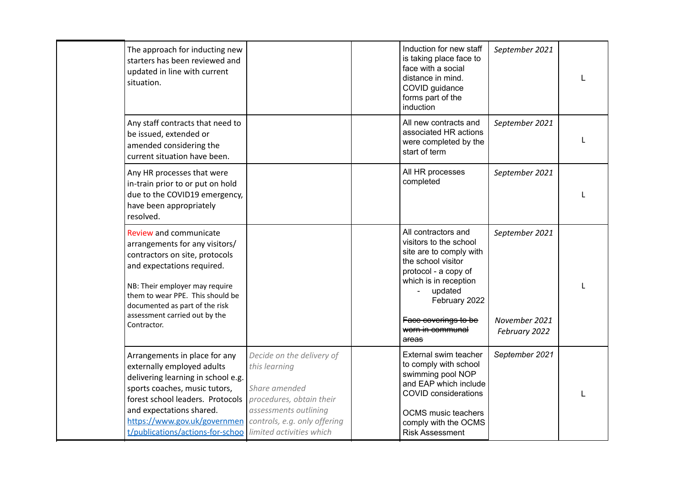| The approach for inducting new<br>starters has been reviewed and<br>updated in line with current<br>situation.                                                                                                                                                                                  |                                                                                                                                                  | Induction for new staff<br>is taking place face to<br>face with a social<br>distance in mind.<br>COVID guidance<br>forms part of the<br>induction                                                                                           | September 2021                                   |  |
|-------------------------------------------------------------------------------------------------------------------------------------------------------------------------------------------------------------------------------------------------------------------------------------------------|--------------------------------------------------------------------------------------------------------------------------------------------------|---------------------------------------------------------------------------------------------------------------------------------------------------------------------------------------------------------------------------------------------|--------------------------------------------------|--|
| Any staff contracts that need to<br>be issued, extended or<br>amended considering the<br>current situation have been.                                                                                                                                                                           |                                                                                                                                                  | All new contracts and<br>associated HR actions<br>were completed by the<br>start of term                                                                                                                                                    | September 2021                                   |  |
| Any HR processes that were<br>in-train prior to or put on hold<br>due to the COVID19 emergency,<br>have been appropriately<br>resolved.                                                                                                                                                         |                                                                                                                                                  | All HR processes<br>completed                                                                                                                                                                                                               | September 2021                                   |  |
| Review and communicate<br>arrangements for any visitors/<br>contractors on site, protocols<br>and expectations required.<br>NB: Their employer may require<br>them to wear PPE. This should be<br>documented as part of the risk<br>assessment carried out by the<br>Contractor.                |                                                                                                                                                  | All contractors and<br>visitors to the school<br>site are to comply with<br>the school visitor<br>protocol - a copy of<br>which is in reception<br>updated<br>February 2022<br>Face coverings to be<br><del>worn in communal</del><br>areas | September 2021<br>November 2021<br>February 2022 |  |
| Arrangements in place for any<br>externally employed adults<br>delivering learning in school e.g.<br>sports coaches, music tutors,<br>forest school leaders. Protocols<br>and expectations shared.<br>https://www.gov.uk/governmen<br>t/publications/actions-for-schoo limited activities which | Decide on the delivery of<br>this learning<br>Share amended<br>procedures, obtain their<br>assessments outlining<br>controls, e.g. only offering | External swim teacher<br>to comply with school<br>swimming pool NOP<br>and EAP which include<br><b>COVID</b> considerations<br><b>OCMS</b> music teachers<br>comply with the OCMS<br><b>Risk Assessment</b>                                 | September 2021                                   |  |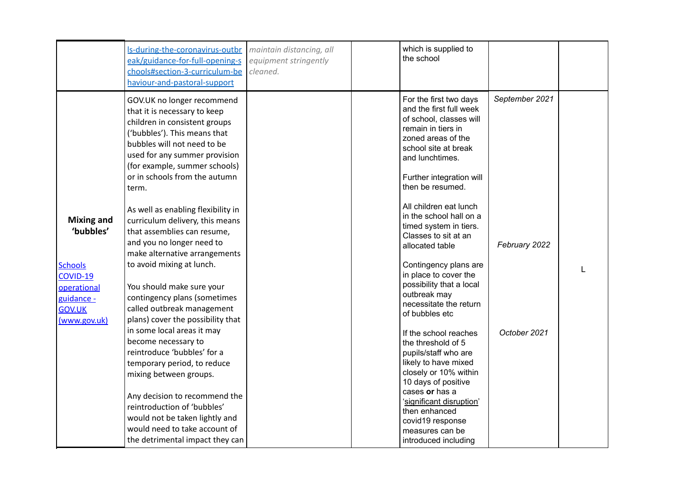|                                                                                                                            | Is-during-the-coronavirus-outbr<br>eak/guidance-for-full-opening-s<br>chools#section-3-curriculum-be<br>haviour-and-pastoral-support                                                                                                                                                                                                                                                                                                                                                                                                                                                                      | maintain distancing, all<br>equipment stringently<br>cleaned. | which is supplied to<br>the school                                                                                                                                                                                                                                                                                                                                                                                                                                                      |                                 |  |
|----------------------------------------------------------------------------------------------------------------------------|-----------------------------------------------------------------------------------------------------------------------------------------------------------------------------------------------------------------------------------------------------------------------------------------------------------------------------------------------------------------------------------------------------------------------------------------------------------------------------------------------------------------------------------------------------------------------------------------------------------|---------------------------------------------------------------|-----------------------------------------------------------------------------------------------------------------------------------------------------------------------------------------------------------------------------------------------------------------------------------------------------------------------------------------------------------------------------------------------------------------------------------------------------------------------------------------|---------------------------------|--|
| <b>Mixing and</b><br>'bubbles'<br><b>Schools</b><br>COVID-19<br>operational<br>guidance -<br><b>GOV.UK</b><br>(www.gov.uk) | GOV.UK no longer recommend<br>that it is necessary to keep<br>children in consistent groups<br>('bubbles'). This means that<br>bubbles will not need to be<br>used for any summer provision<br>(for example, summer schools)<br>or in schools from the autumn<br>term.<br>As well as enabling flexibility in<br>curriculum delivery, this means<br>that assemblies can resume,<br>and you no longer need to<br>make alternative arrangements<br>to avoid mixing at lunch.<br>You should make sure your<br>contingency plans (sometimes<br>called outbreak management<br>plans) cover the possibility that |                                                               | For the first two days<br>and the first full week<br>of school, classes will<br>remain in tiers in<br>zoned areas of the<br>school site at break<br>and lunchtimes.<br>Further integration will<br>then be resumed.<br>All children eat lunch<br>in the school hall on a<br>timed system in tiers.<br>Classes to sit at an<br>allocated table<br>Contingency plans are<br>in place to cover the<br>possibility that a local<br>outbreak may<br>necessitate the return<br>of bubbles etc | September 2021<br>February 2022 |  |
|                                                                                                                            | in some local areas it may<br>become necessary to<br>reintroduce 'bubbles' for a<br>temporary period, to reduce<br>mixing between groups.<br>Any decision to recommend the<br>reintroduction of 'bubbles'<br>would not be taken lightly and<br>would need to take account of<br>the detrimental impact they can                                                                                                                                                                                                                                                                                           |                                                               | If the school reaches<br>the threshold of 5<br>pupils/staff who are<br>likely to have mixed<br>closely or 10% within<br>10 days of positive<br>cases or has a<br>'significant disruption'<br>then enhanced<br>covid19 response<br>measures can be<br>introduced including                                                                                                                                                                                                               | October 2021                    |  |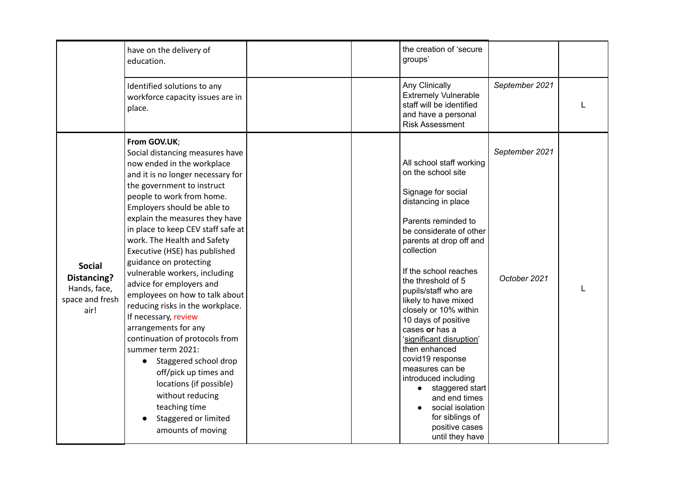|                                                                         | have on the delivery of<br>education.                                                                                                                                                                                                                                                                                                                                                                                                                                                                                                                                                                                                                                                                                                                                                                |  | the creation of 'secure<br>groups'                                                                                                                                                                                                                                                                                                                                                                                                                                                                                                                                                  |                                |  |
|-------------------------------------------------------------------------|------------------------------------------------------------------------------------------------------------------------------------------------------------------------------------------------------------------------------------------------------------------------------------------------------------------------------------------------------------------------------------------------------------------------------------------------------------------------------------------------------------------------------------------------------------------------------------------------------------------------------------------------------------------------------------------------------------------------------------------------------------------------------------------------------|--|-------------------------------------------------------------------------------------------------------------------------------------------------------------------------------------------------------------------------------------------------------------------------------------------------------------------------------------------------------------------------------------------------------------------------------------------------------------------------------------------------------------------------------------------------------------------------------------|--------------------------------|--|
|                                                                         | Identified solutions to any<br>workforce capacity issues are in<br>place.                                                                                                                                                                                                                                                                                                                                                                                                                                                                                                                                                                                                                                                                                                                            |  | Any Clinically<br><b>Extremely Vulnerable</b><br>staff will be identified<br>and have a personal<br><b>Risk Assessment</b>                                                                                                                                                                                                                                                                                                                                                                                                                                                          | September 2021                 |  |
| <b>Social</b><br>Distancing?<br>Hands, face,<br>space and fresh<br>air! | From GOV.UK;<br>Social distancing measures have<br>now ended in the workplace<br>and it is no longer necessary for<br>the government to instruct<br>people to work from home.<br>Employers should be able to<br>explain the measures they have<br>in place to keep CEV staff safe at<br>work. The Health and Safety<br>Executive (HSE) has published<br>guidance on protecting<br>vulnerable workers, including<br>advice for employers and<br>employees on how to talk about<br>reducing risks in the workplace.<br>If necessary, review<br>arrangements for any<br>continuation of protocols from<br>summer term 2021:<br>Staggered school drop<br>$\bullet$<br>off/pick up times and<br>locations (if possible)<br>without reducing<br>teaching time<br>Staggered or limited<br>amounts of moving |  | All school staff working<br>on the school site<br>Signage for social<br>distancing in place<br>Parents reminded to<br>be considerate of other<br>parents at drop off and<br>collection<br>If the school reaches<br>the threshold of 5<br>pupils/staff who are<br>likely to have mixed<br>closely or 10% within<br>10 days of positive<br>cases or has a<br>'significant disruption'<br>then enhanced<br>covid19 response<br>measures can be<br>introduced including<br>staggered start<br>and end times<br>social isolation<br>for siblings of<br>positive cases<br>until they have | September 2021<br>October 2021 |  |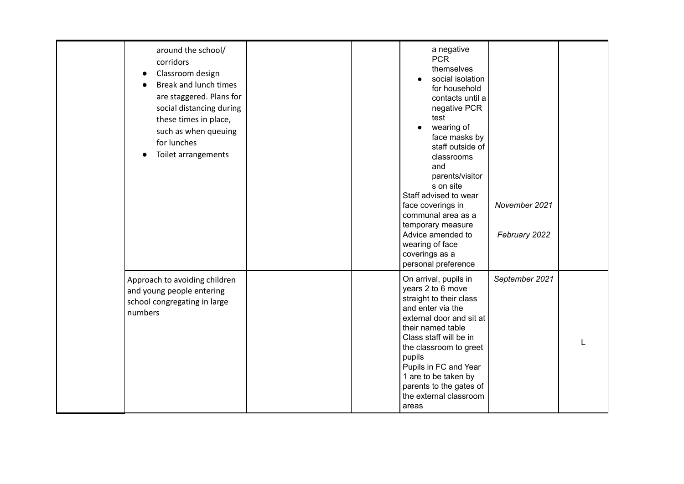| around the school/<br>corridors<br>Classroom design<br>Break and lunch times<br>are staggered. Plans for<br>social distancing during<br>these times in place,<br>such as when queuing<br>for lunches<br>Toilet arrangements |  | a negative<br><b>PCR</b><br>themselves<br>social isolation<br>for household<br>contacts until a<br>negative PCR<br>test<br>wearing of<br>$\bullet$<br>face masks by<br>staff outside of<br>classrooms<br>and<br>parents/visitor<br>s on site<br>Staff advised to wear<br>face coverings in<br>communal area as a<br>temporary measure<br>Advice amended to<br>wearing of face | November 2021<br>February 2022 |  |
|-----------------------------------------------------------------------------------------------------------------------------------------------------------------------------------------------------------------------------|--|-------------------------------------------------------------------------------------------------------------------------------------------------------------------------------------------------------------------------------------------------------------------------------------------------------------------------------------------------------------------------------|--------------------------------|--|
| Approach to avoiding children                                                                                                                                                                                               |  | coverings as a<br>personal preference<br>On arrival, pupils in<br>years 2 to 6 move                                                                                                                                                                                                                                                                                           | September 2021                 |  |
| and young people entering<br>school congregating in large<br>numbers                                                                                                                                                        |  | straight to their class<br>and enter via the<br>external door and sit at<br>their named table<br>Class staff will be in<br>the classroom to greet<br>pupils<br>Pupils in FC and Year<br>1 are to be taken by<br>parents to the gates of<br>the external classroom<br>areas                                                                                                    |                                |  |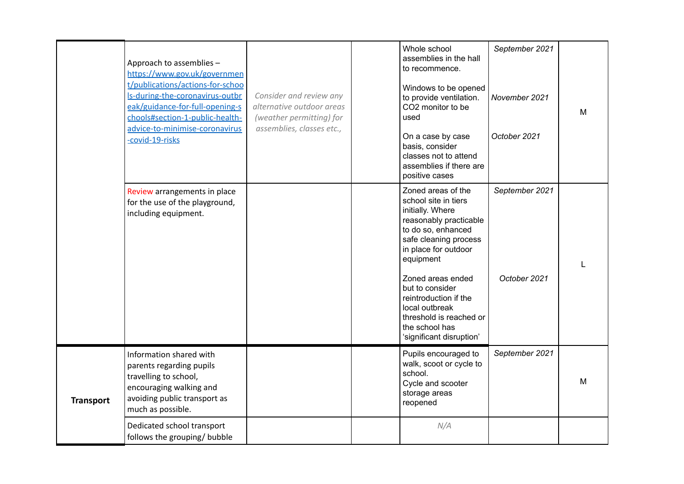|                  | Approach to assemblies -<br>https://www.gov.uk/governmen<br>t/publications/actions-for-schoo<br>Is-during-the-coronavirus-outbr<br>eak/guidance-for-full-opening-s<br>chools#section-1-public-health-<br>advice-to-minimise-coronavirus<br>-covid-19-risks | Consider and review any<br>alternative outdoor areas<br>(weather permitting) for<br>assemblies, classes etc., | Whole school<br>assemblies in the hall<br>to recommence.<br>Windows to be opened<br>to provide ventilation.<br>CO2 monitor to be<br>used<br>On a case by case<br>basis, consider<br>classes not to attend<br>assemblies if there are<br>positive cases          | September 2021<br>November 2021<br>October 2021 | M |
|------------------|------------------------------------------------------------------------------------------------------------------------------------------------------------------------------------------------------------------------------------------------------------|---------------------------------------------------------------------------------------------------------------|-----------------------------------------------------------------------------------------------------------------------------------------------------------------------------------------------------------------------------------------------------------------|-------------------------------------------------|---|
|                  | Review arrangements in place<br>for the use of the playground,<br>including equipment.                                                                                                                                                                     |                                                                                                               | Zoned areas of the<br>school site in tiers<br>initially. Where<br>reasonably practicable<br>to do so, enhanced<br>safe cleaning process<br>in place for outdoor<br>equipment<br>Zoned areas ended<br>but to consider<br>reintroduction if the<br>local outbreak | September 2021<br>October 2021                  |   |
|                  |                                                                                                                                                                                                                                                            |                                                                                                               | threshold is reached or<br>the school has<br>'significant disruption'                                                                                                                                                                                           |                                                 |   |
| <b>Transport</b> | Information shared with<br>parents regarding pupils<br>travelling to school,<br>encouraging walking and<br>avoiding public transport as<br>much as possible.                                                                                               |                                                                                                               | Pupils encouraged to<br>walk, scoot or cycle to<br>school.<br>Cycle and scooter<br>storage areas<br>reopened                                                                                                                                                    | September 2021                                  | м |
|                  | Dedicated school transport<br>follows the grouping/ bubble                                                                                                                                                                                                 |                                                                                                               | N/A                                                                                                                                                                                                                                                             |                                                 |   |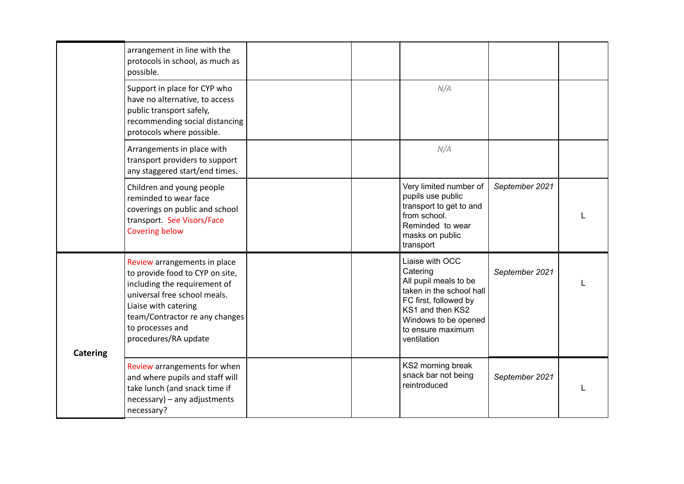|                 | arrangement in line with the<br>protocols in school, as much as<br>possible.                                                                                                                                                          |  |                                                                                                                                                                                           |                |  |
|-----------------|---------------------------------------------------------------------------------------------------------------------------------------------------------------------------------------------------------------------------------------|--|-------------------------------------------------------------------------------------------------------------------------------------------------------------------------------------------|----------------|--|
|                 | Support in place for CYP who<br>have no alternative, to access<br>public transport safely,<br>recommending social distancing<br>protocols where possible.                                                                             |  | N/A                                                                                                                                                                                       |                |  |
|                 | Arrangements in place with<br>transport providers to support<br>any staggered start/end times.                                                                                                                                        |  | N/A                                                                                                                                                                                       |                |  |
|                 | Children and young people<br>reminded to wear face<br>coverings on public and school<br>transport. See Visors/Face<br><b>Covering below</b>                                                                                           |  | Very limited number of<br>pupils use public<br>transport to get to and<br>from school.<br>Reminded to wear<br>masks on public<br>transport                                                | September 2021 |  |
| <b>Catering</b> | Review arrangements in place<br>to provide food to CYP on site,<br>including the requirement of<br>universal free school meals.<br>Liaise with catering<br>team/Contractor re any changes<br>to processes and<br>procedures/RA update |  | Liaise with OCC<br>Catering<br>All pupil meals to be<br>taken in the school hall<br>FC first, followed by<br>KS1 and then KS2<br>Windows to be opened<br>to ensure maximum<br>ventilation | September 2021 |  |
|                 | Review arrangements for when<br>and where pupils and staff will<br>take lunch (and snack time if<br>$necessary$ ) – any adjustments<br>necessary?                                                                                     |  | KS2 morning break<br>snack bar not being<br>reintroduced                                                                                                                                  | September 2021 |  |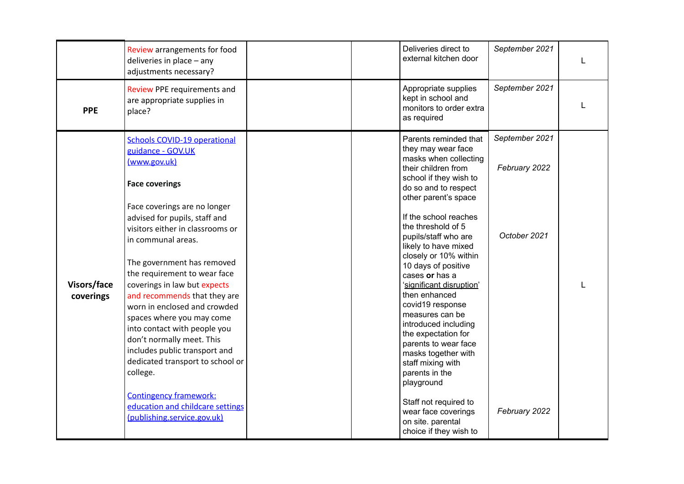|                          | Review arrangements for food<br>deliveries in place $-$ any<br>adjustments necessary?                                                                                                                                                                                                                                                                                                                                                                                                                                                                                                                                                                                     |  | Deliveries direct to<br>external kitchen door                                                                                                                                                                                                                                                                                                                                                                                                                                                                                                                                                                                                                                | September 2021                                                   |  |
|--------------------------|---------------------------------------------------------------------------------------------------------------------------------------------------------------------------------------------------------------------------------------------------------------------------------------------------------------------------------------------------------------------------------------------------------------------------------------------------------------------------------------------------------------------------------------------------------------------------------------------------------------------------------------------------------------------------|--|------------------------------------------------------------------------------------------------------------------------------------------------------------------------------------------------------------------------------------------------------------------------------------------------------------------------------------------------------------------------------------------------------------------------------------------------------------------------------------------------------------------------------------------------------------------------------------------------------------------------------------------------------------------------------|------------------------------------------------------------------|--|
| <b>PPE</b>               | Review PPE requirements and<br>are appropriate supplies in<br>place?                                                                                                                                                                                                                                                                                                                                                                                                                                                                                                                                                                                                      |  | Appropriate supplies<br>kept in school and<br>monitors to order extra<br>as required                                                                                                                                                                                                                                                                                                                                                                                                                                                                                                                                                                                         | September 2021                                                   |  |
| Visors/face<br>coverings | <b>Schools COVID-19 operational</b><br>guidance - GOV.UK<br>(www.gov.uk)<br><b>Face coverings</b><br>Face coverings are no longer<br>advised for pupils, staff and<br>visitors either in classrooms or<br>in communal areas.<br>The government has removed<br>the requirement to wear face<br>coverings in law but expects<br>and recommends that they are<br>worn in enclosed and crowded<br>spaces where you may come<br>into contact with people you<br>don't normally meet. This<br>includes public transport and<br>dedicated transport to school or<br>college.<br><b>Contingency framework:</b><br>education and childcare settings<br>(publishing.service.gov.uk) |  | Parents reminded that<br>they may wear face<br>masks when collecting<br>their children from<br>school if they wish to<br>do so and to respect<br>other parent's space<br>If the school reaches<br>the threshold of 5<br>pupils/staff who are<br>likely to have mixed<br>closely or 10% within<br>10 days of positive<br>cases or has a<br>'significant disruption'<br>then enhanced<br>covid19 response<br>measures can be<br>introduced including<br>the expectation for<br>parents to wear face<br>masks together with<br>staff mixing with<br>parents in the<br>playground<br>Staff not required to<br>wear face coverings<br>on site. parental<br>choice if they wish to | September 2021<br>February 2022<br>October 2021<br>February 2022 |  |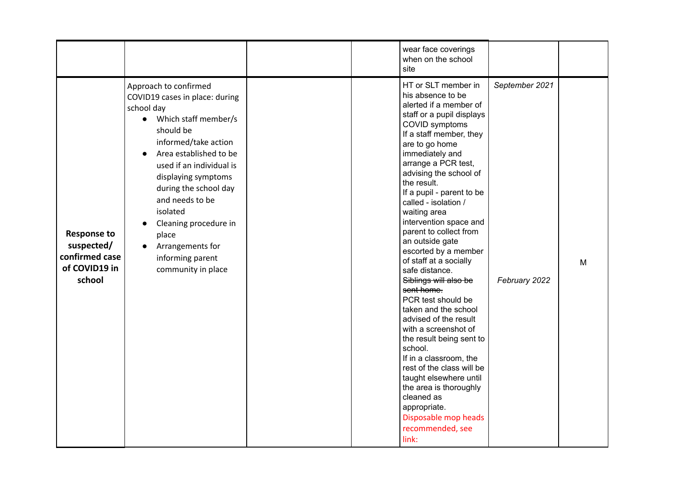|                                                                               |                                                                                                                                                                                                                                                                                                                                                                           |  | wear face coverings<br>when on the school<br>site                                                                                                                                                                                                                                                                                                                                                                                                                                                                                                                                                                                                                                                                                                                                                                                            |                                 |   |
|-------------------------------------------------------------------------------|---------------------------------------------------------------------------------------------------------------------------------------------------------------------------------------------------------------------------------------------------------------------------------------------------------------------------------------------------------------------------|--|----------------------------------------------------------------------------------------------------------------------------------------------------------------------------------------------------------------------------------------------------------------------------------------------------------------------------------------------------------------------------------------------------------------------------------------------------------------------------------------------------------------------------------------------------------------------------------------------------------------------------------------------------------------------------------------------------------------------------------------------------------------------------------------------------------------------------------------------|---------------------------------|---|
| <b>Response to</b><br>suspected/<br>confirmed case<br>of COVID19 in<br>school | Approach to confirmed<br>COVID19 cases in place: during<br>school day<br>• Which staff member/s<br>should be<br>informed/take action<br>Area established to be<br>used if an individual is<br>displaying symptoms<br>during the school day<br>and needs to be<br>isolated<br>Cleaning procedure in<br>place<br>Arrangements for<br>informing parent<br>community in place |  | HT or SLT member in<br>his absence to be<br>alerted if a member of<br>staff or a pupil displays<br>COVID symptoms<br>If a staff member, they<br>are to go home<br>immediately and<br>arrange a PCR test,<br>advising the school of<br>the result.<br>If a pupil - parent to be<br>called - isolation /<br>waiting area<br>intervention space and<br>parent to collect from<br>an outside gate<br>escorted by a member<br>of staff at a socially<br>safe distance.<br>Siblings will also be<br>sent home.<br>PCR test should be<br>taken and the school<br>advised of the result<br>with a screenshot of<br>the result being sent to<br>school.<br>If in a classroom, the<br>rest of the class will be<br>taught elsewhere until<br>the area is thoroughly<br>cleaned as<br>appropriate.<br>Disposable mop heads<br>recommended, see<br>link: | September 2021<br>February 2022 | М |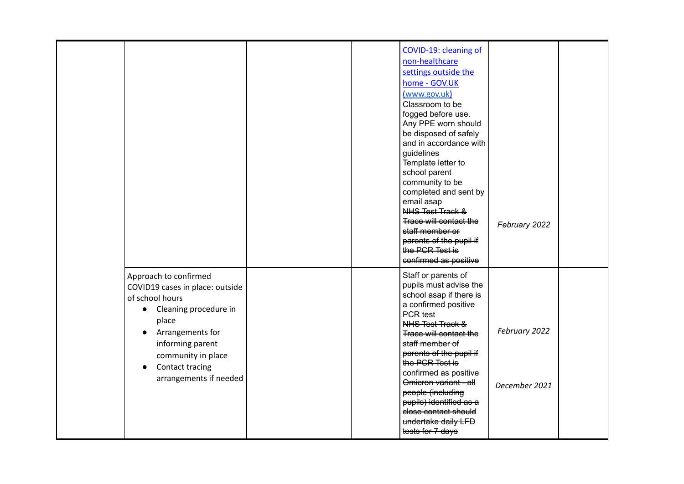|                                                                                                                                                                                                                                                      |  | COVID-19: cleaning of<br>non-healthcare<br>settings outside the<br>home - GOV.UK<br>(www.gov.uk)<br>Classroom to be<br>fogged before use.<br>Any PPE worn should<br>be disposed of safely<br>and in accordance with<br>guidelines<br>Template letter to<br>school parent<br>community to be<br>completed and sent by<br>email asap<br>NHS Test Track &<br><b>Trace will contact the</b><br>staff member or<br>parents of the pupil if<br>the PCR Test is<br>confirmed as positive | February 2022                  |  |
|------------------------------------------------------------------------------------------------------------------------------------------------------------------------------------------------------------------------------------------------------|--|-----------------------------------------------------------------------------------------------------------------------------------------------------------------------------------------------------------------------------------------------------------------------------------------------------------------------------------------------------------------------------------------------------------------------------------------------------------------------------------|--------------------------------|--|
| Approach to confirmed<br>COVID19 cases in place: outside<br>of school hours<br>• Cleaning procedure in<br>place<br>Arrangements for<br>$\bullet$<br>informing parent<br>community in place<br>Contact tracing<br>$\bullet$<br>arrangements if needed |  | Staff or parents of<br>pupils must advise the<br>school asap if there is<br>a confirmed positive<br>PCR test<br>NHS Test Track &<br><b>Trace will contact the</b><br>staff member of<br>parents of the pupil if<br>the PGR Test is<br>confirmed as positive<br>Omicron variant - all<br>people (including<br>pupils) identified as a<br>close contact should<br>undertake daily LFD<br>tests for 7 days                                                                           | February 2022<br>December 2021 |  |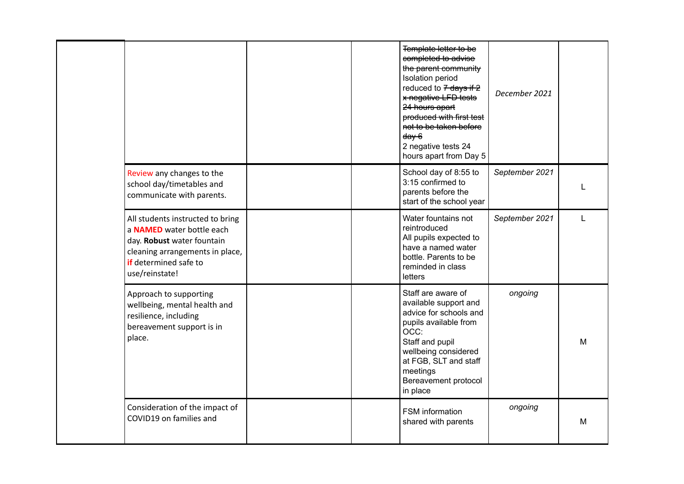|                                                                                                                                                                                         |  | Template letter to be<br>completed to advise<br>the parent community<br>Isolation period<br>reduced to 7 days if 2<br>x negative LFD tests<br>24 hours apart<br>produced with first test<br>not to be taken before<br>$\frac{day}{6}$<br>2 negative tests 24<br>hours apart from Day 5 | December 2021  |   |
|-----------------------------------------------------------------------------------------------------------------------------------------------------------------------------------------|--|----------------------------------------------------------------------------------------------------------------------------------------------------------------------------------------------------------------------------------------------------------------------------------------|----------------|---|
| Review any changes to the<br>school day/timetables and<br>communicate with parents.                                                                                                     |  | School day of 8:55 to<br>3:15 confirmed to<br>parents before the<br>start of the school year                                                                                                                                                                                           | September 2021 |   |
| All students instructed to bring<br>a <b>NAMED</b> water bottle each<br>day. Robust water fountain<br>cleaning arrangements in place,<br><b>if</b> determined safe to<br>use/reinstate! |  | Water fountains not<br>reintroduced<br>All pupils expected to<br>have a named water<br>bottle. Parents to be<br>reminded in class<br>letters                                                                                                                                           | September 2021 |   |
| Approach to supporting<br>wellbeing, mental health and<br>resilience, including<br>bereavement support is in<br>place.                                                                  |  | Staff are aware of<br>available support and<br>advice for schools and<br>pupils available from<br>OCC:<br>Staff and pupil<br>wellbeing considered<br>at FGB, SLT and staff<br>meetings<br>Bereavement protocol<br>in place                                                             | ongoing        | м |
| Consideration of the impact of<br>COVID19 on families and                                                                                                                               |  | FSM information<br>shared with parents                                                                                                                                                                                                                                                 | ongoing        | M |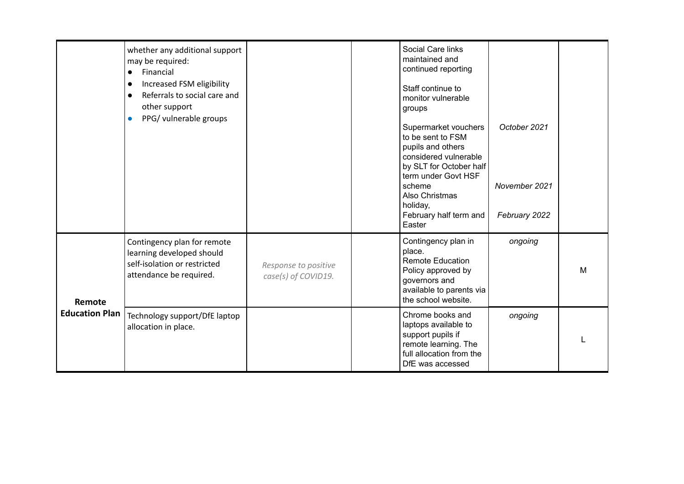|                       | whether any additional support<br>may be required:<br>Financial<br>$\bullet$<br>Increased FSM eligibility<br>$\bullet$<br>Referrals to social care and<br>$\bullet$<br>other support<br>PPG/ vulnerable groups<br>$\bullet$ |                                             | Social Care links<br>maintained and<br>continued reporting<br>Staff continue to<br>monitor vulnerable<br>groups<br>Supermarket vouchers<br>to be sent to FSM<br>pupils and others<br>considered vulnerable<br>by SLT for October half<br>term under Govt HSF<br>scheme<br>Also Christmas<br>holiday,<br>February half term and<br>Easter | October 2021<br>November 2021<br>February 2022 |   |
|-----------------------|-----------------------------------------------------------------------------------------------------------------------------------------------------------------------------------------------------------------------------|---------------------------------------------|------------------------------------------------------------------------------------------------------------------------------------------------------------------------------------------------------------------------------------------------------------------------------------------------------------------------------------------|------------------------------------------------|---|
| Remote                | Contingency plan for remote<br>learning developed should<br>self-isolation or restricted<br>attendance be required.                                                                                                         | Response to positive<br>case(s) of COVID19. | Contingency plan in<br>place.<br><b>Remote Education</b><br>Policy approved by<br>governors and<br>available to parents via<br>the school website.                                                                                                                                                                                       | ongoing                                        | M |
| <b>Education Plan</b> | Technology support/DfE laptop<br>allocation in place.                                                                                                                                                                       |                                             | Chrome books and<br>laptops available to<br>support pupils if<br>remote learning. The<br>full allocation from the<br>DfE was accessed                                                                                                                                                                                                    | ongoing                                        |   |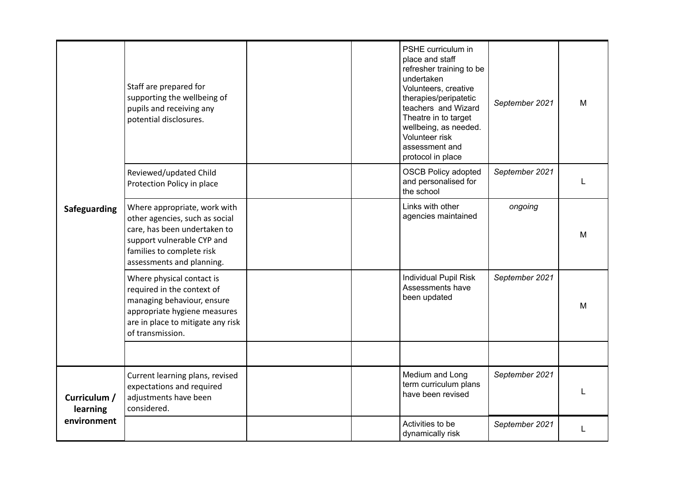| Safeguarding                            | Staff are prepared for<br>supporting the wellbeing of<br>pupils and receiving any<br>potential disclosures.                                                                            |  | PSHE curriculum in<br>place and staff<br>refresher training to be<br>undertaken<br>Volunteers, creative<br>therapies/peripatetic<br>teachers and Wizard<br>Theatre in to target<br>wellbeing, as needed.<br>Volunteer risk<br>assessment and<br>protocol in place | September 2021 | М |
|-----------------------------------------|----------------------------------------------------------------------------------------------------------------------------------------------------------------------------------------|--|-------------------------------------------------------------------------------------------------------------------------------------------------------------------------------------------------------------------------------------------------------------------|----------------|---|
|                                         | Reviewed/updated Child<br>Protection Policy in place                                                                                                                                   |  | <b>OSCB Policy adopted</b><br>and personalised for<br>the school                                                                                                                                                                                                  | September 2021 |   |
|                                         | Where appropriate, work with<br>other agencies, such as social<br>care, has been undertaken to<br>support vulnerable CYP and<br>families to complete risk<br>assessments and planning. |  | Links with other<br>agencies maintained                                                                                                                                                                                                                           | ongoing        | м |
|                                         | Where physical contact is<br>required in the context of<br>managing behaviour, ensure<br>appropriate hygiene measures<br>are in place to mitigate any risk<br>of transmission.         |  | <b>Individual Pupil Risk</b><br>Assessments have<br>been updated                                                                                                                                                                                                  | September 2021 | м |
|                                         |                                                                                                                                                                                        |  |                                                                                                                                                                                                                                                                   |                |   |
| Curriculum /<br>learning<br>environment | Current learning plans, revised<br>expectations and required<br>adjustments have been<br>considered.                                                                                   |  | Medium and Long<br>term curriculum plans<br>have been revised                                                                                                                                                                                                     | September 2021 |   |
|                                         |                                                                                                                                                                                        |  | Activities to be<br>dynamically risk                                                                                                                                                                                                                              | September 2021 |   |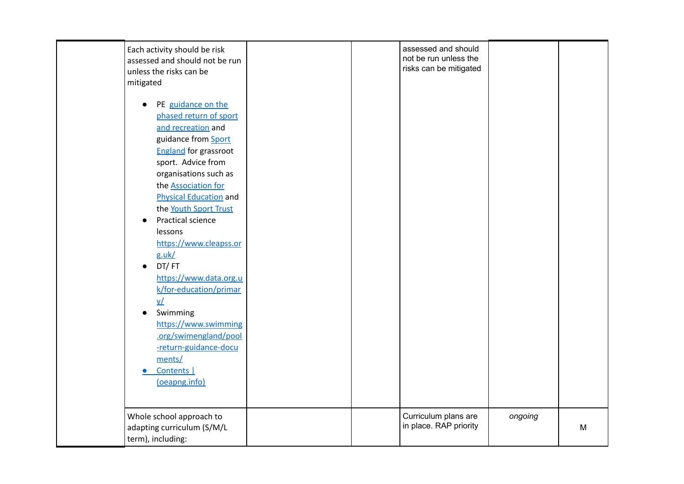| Each activity should be risk<br>assessed and should not be run<br>unless the risks can be<br>mitigated                                                                                                                                                                                                                                                                                                                                                                                                                                                                       |  | assessed and should<br>not be run unless the<br>risks can be mitigated |         |   |
|------------------------------------------------------------------------------------------------------------------------------------------------------------------------------------------------------------------------------------------------------------------------------------------------------------------------------------------------------------------------------------------------------------------------------------------------------------------------------------------------------------------------------------------------------------------------------|--|------------------------------------------------------------------------|---------|---|
| PE guidance on the<br>phased return of sport<br>and recreation and<br>guidance from Sport<br><b>England</b> for grassroot<br>sport. Advice from<br>organisations such as<br>the <b>Association</b> for<br><b>Physical Education and</b><br>the Youth Sport Trust<br>Practical science<br>lessons<br>https://www.cleapss.or<br>g.uk/<br>DT/FT<br>$\bullet$<br>https://www.data.org.u<br>k/for-education/primar<br>$\underline{v}$<br>Swimming<br>$\bullet$<br>https://www.swimming<br>.org/swimengland/pool<br>-return-guidance-docu<br>ments/<br>Contents  <br>(oeapng.info) |  |                                                                        |         |   |
| Whole school approach to<br>adapting curriculum (S/M/L<br>term), including:                                                                                                                                                                                                                                                                                                                                                                                                                                                                                                  |  | Curriculum plans are<br>in place. RAP priority                         | ongoing | M |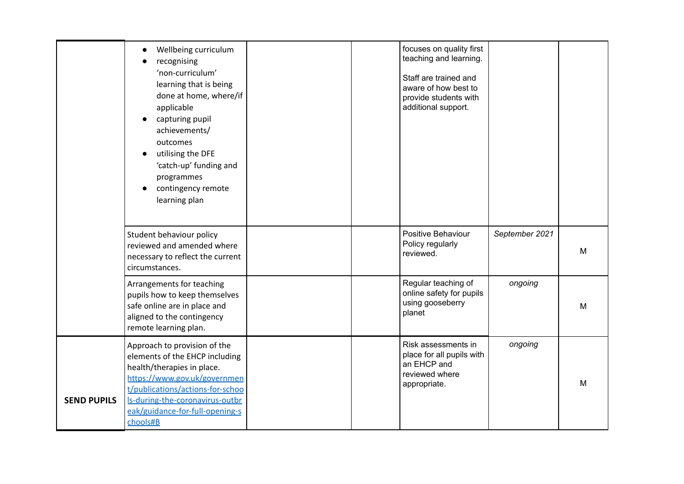|                    | Wellbeing curriculum<br>recognising<br>'non-curriculum'<br>learning that is being<br>done at home, where/if<br>applicable<br>capturing pupil<br>achievements/<br>outcomes<br>utilising the DFE<br>'catch-up' funding and<br>programmes<br>contingency remote<br>learning plan |  | focuses on quality first<br>teaching and learning.<br>Staff are trained and<br>aware of how best to<br>provide students with<br>additional support. |                |   |
|--------------------|-------------------------------------------------------------------------------------------------------------------------------------------------------------------------------------------------------------------------------------------------------------------------------|--|-----------------------------------------------------------------------------------------------------------------------------------------------------|----------------|---|
|                    | Student behaviour policy<br>reviewed and amended where<br>necessary to reflect the current<br>circumstances.                                                                                                                                                                  |  | Positive Behaviour<br>Policy regularly<br>reviewed.                                                                                                 | September 2021 | M |
|                    | Arrangements for teaching<br>pupils how to keep themselves<br>safe online are in place and<br>aligned to the contingency<br>remote learning plan.                                                                                                                             |  | Regular teaching of<br>online safety for pupils<br>using gooseberry<br>planet                                                                       | ongoing        | M |
| <b>SEND PUPILS</b> | Approach to provision of the<br>elements of the EHCP including<br>health/therapies in place.<br>https://www.gov.uk/governmen<br>t/publications/actions-for-schoo<br>Is-during-the-coronavirus-outbr<br>eak/guidance-for-full-opening-s<br>chools#B                            |  | Risk assessments in<br>place for all pupils with<br>an EHCP and<br>reviewed where<br>appropriate.                                                   | ongoing        | M |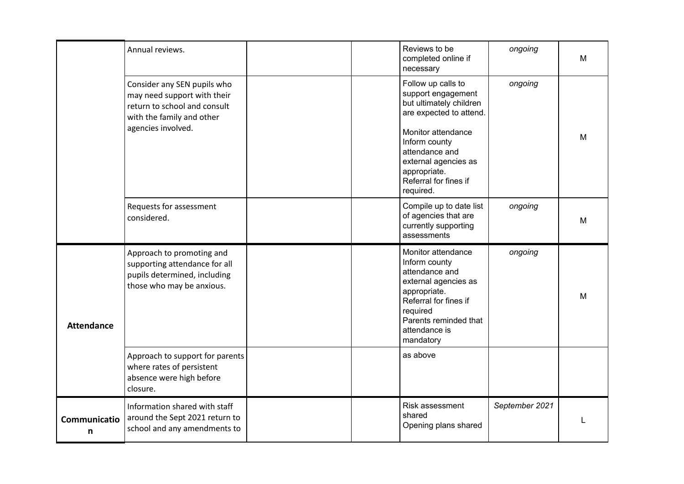|                   | Annual reviews.                                                                                                                               |  | Reviews to be<br>completed online if<br>necessary                                                                                                                                                                                     | ongoing        | M |
|-------------------|-----------------------------------------------------------------------------------------------------------------------------------------------|--|---------------------------------------------------------------------------------------------------------------------------------------------------------------------------------------------------------------------------------------|----------------|---|
|                   | Consider any SEN pupils who<br>may need support with their<br>return to school and consult<br>with the family and other<br>agencies involved. |  | Follow up calls to<br>support engagement<br>but ultimately children<br>are expected to attend.<br>Monitor attendance<br>Inform county<br>attendance and<br>external agencies as<br>appropriate.<br>Referral for fines if<br>required. | ongoing        | M |
|                   | Requests for assessment<br>considered.                                                                                                        |  | Compile up to date list<br>of agencies that are<br>currently supporting<br>assessments                                                                                                                                                | ongoing        | M |
| <b>Attendance</b> | Approach to promoting and<br>supporting attendance for all<br>pupils determined, including<br>those who may be anxious.                       |  | Monitor attendance<br>Inform county<br>attendance and<br>external agencies as<br>appropriate.<br>Referral for fines if<br>required<br>Parents reminded that<br>attendance is<br>mandatory                                             | ongoing        | M |
|                   | Approach to support for parents<br>where rates of persistent<br>absence were high before<br>closure.                                          |  | as above                                                                                                                                                                                                                              |                |   |
| Communicatio<br>n | Information shared with staff<br>around the Sept 2021 return to<br>school and any amendments to                                               |  | Risk assessment<br>shared<br>Opening plans shared                                                                                                                                                                                     | September 2021 |   |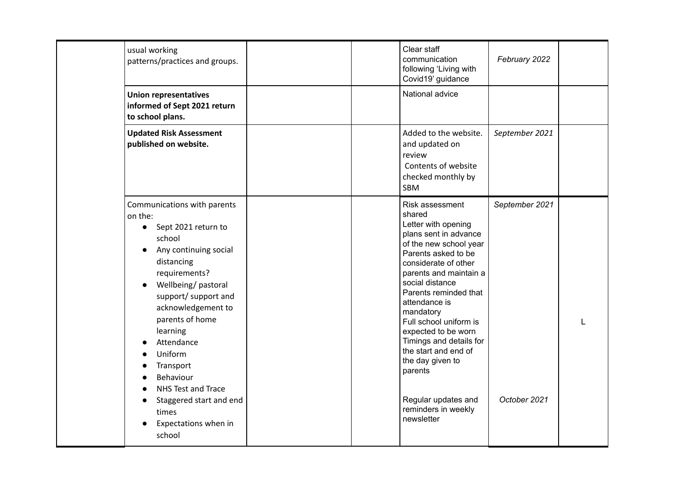| usual working<br>patterns/practices and groups.                                                                                                                                                                                                                                                                                                                                                             |  | Clear staff<br>communication<br>following 'Living with<br>Covid19' guidance                                                                                                                                                                                                                                                                                                                                                                           | February 2022                  |  |
|-------------------------------------------------------------------------------------------------------------------------------------------------------------------------------------------------------------------------------------------------------------------------------------------------------------------------------------------------------------------------------------------------------------|--|-------------------------------------------------------------------------------------------------------------------------------------------------------------------------------------------------------------------------------------------------------------------------------------------------------------------------------------------------------------------------------------------------------------------------------------------------------|--------------------------------|--|
| <b>Union representatives</b><br>informed of Sept 2021 return<br>to school plans.                                                                                                                                                                                                                                                                                                                            |  | National advice                                                                                                                                                                                                                                                                                                                                                                                                                                       |                                |  |
| <b>Updated Risk Assessment</b><br>published on website.                                                                                                                                                                                                                                                                                                                                                     |  | Added to the website.<br>and updated on<br>review<br>Contents of website<br>checked monthly by<br>SBM                                                                                                                                                                                                                                                                                                                                                 | September 2021                 |  |
| Communications with parents<br>on the:<br>Sept 2021 return to<br>$\bullet$<br>school<br>Any continuing social<br>$\bullet$<br>distancing<br>requirements?<br>Wellbeing/pastoral<br>support/ support and<br>acknowledgement to<br>parents of home<br>learning<br>Attendance<br>Uniform<br>Transport<br>Behaviour<br>NHS Test and Trace<br>Staggered start and end<br>times<br>Expectations when in<br>school |  | Risk assessment<br>shared<br>Letter with opening<br>plans sent in advance<br>of the new school year<br>Parents asked to be<br>considerate of other<br>parents and maintain a<br>social distance<br>Parents reminded that<br>attendance is<br>mandatory<br>Full school uniform is<br>expected to be worn<br>Timings and details for<br>the start and end of<br>the day given to<br>parents<br>Regular updates and<br>reminders in weekly<br>newsletter | September 2021<br>October 2021 |  |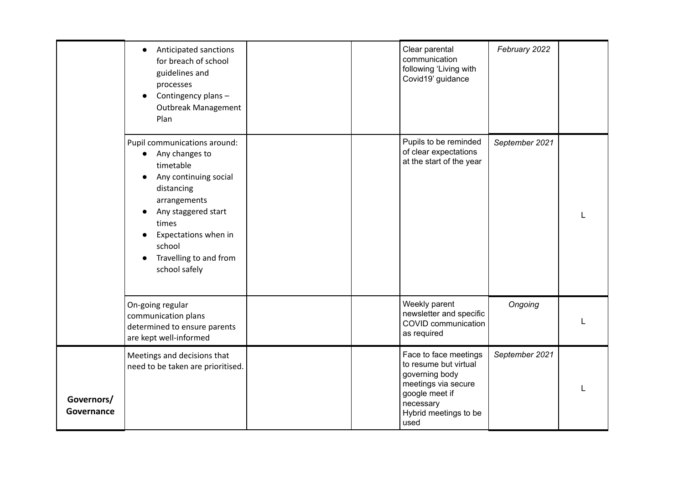|                          | Anticipated sanctions<br>for breach of school<br>guidelines and<br>processes<br>Contingency plans -<br><b>Outbreak Management</b><br>Plan                                                                                                    |  | Clear parental<br>communication<br>following 'Living with<br>Covid19' guidance                                                                          | February 2022  |  |
|--------------------------|----------------------------------------------------------------------------------------------------------------------------------------------------------------------------------------------------------------------------------------------|--|---------------------------------------------------------------------------------------------------------------------------------------------------------|----------------|--|
|                          | Pupil communications around:<br>Any changes to<br>$\bullet$<br>timetable<br>Any continuing social<br>distancing<br>arrangements<br>Any staggered start<br>times<br>Expectations when in<br>school<br>Travelling to and from<br>school safely |  | Pupils to be reminded<br>of clear expectations<br>at the start of the year                                                                              | September 2021 |  |
|                          | On-going regular<br>communication plans<br>determined to ensure parents<br>are kept well-informed                                                                                                                                            |  | Weekly parent<br>newsletter and specific<br>COVID communication<br>as required                                                                          | Ongoing        |  |
| Governors/<br>Governance | Meetings and decisions that<br>need to be taken are prioritised.                                                                                                                                                                             |  | Face to face meetings<br>to resume but virtual<br>governing body<br>meetings via secure<br>google meet if<br>necessary<br>Hybrid meetings to be<br>used | September 2021 |  |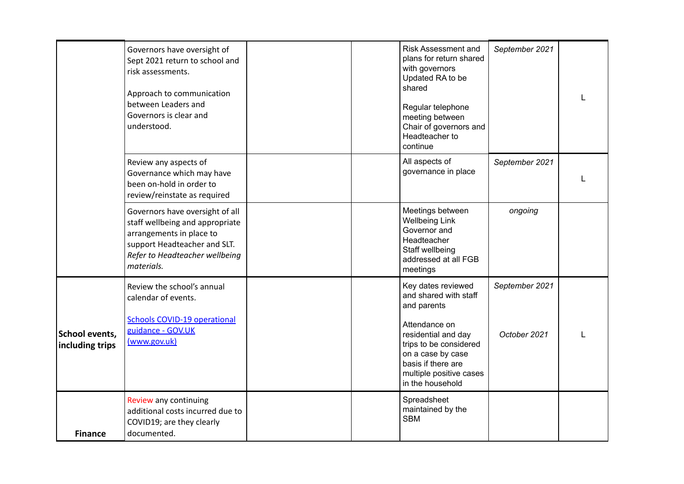|                                   | Governors have oversight of<br>Sept 2021 return to school and<br>risk assessments.<br>Approach to communication<br>between Leaders and<br>Governors is clear and<br>understood. |  | Risk Assessment and<br>plans for return shared<br>with governors<br>Updated RA to be<br>shared<br>Regular telephone<br>meeting between<br>Chair of governors and<br>Headteacher to<br>continue                         | September 2021                 |  |
|-----------------------------------|---------------------------------------------------------------------------------------------------------------------------------------------------------------------------------|--|------------------------------------------------------------------------------------------------------------------------------------------------------------------------------------------------------------------------|--------------------------------|--|
|                                   | Review any aspects of<br>Governance which may have<br>been on-hold in order to<br>review/reinstate as required                                                                  |  | All aspects of<br>governance in place                                                                                                                                                                                  | September 2021                 |  |
|                                   | Governors have oversight of all<br>staff wellbeing and appropriate<br>arrangements in place to<br>support Headteacher and SLT.<br>Refer to Headteacher wellbeing<br>materials.  |  | Meetings between<br><b>Wellbeing Link</b><br>Governor and<br><b>Headteacher</b><br>Staff wellbeing<br>addressed at all FGB<br>meetings                                                                                 | ongoing                        |  |
| School events,<br>including trips | Review the school's annual<br>calendar of events.<br><b>Schools COVID-19 operational</b><br>guidance - GOV.UK<br>(www.gov.uk)                                                   |  | Key dates reviewed<br>and shared with staff<br>and parents<br>Attendance on<br>residential and day<br>trips to be considered<br>on a case by case<br>basis if there are<br>multiple positive cases<br>in the household | September 2021<br>October 2021 |  |
| <b>Finance</b>                    | Review any continuing<br>additional costs incurred due to<br>COVID19; are they clearly<br>documented.                                                                           |  | Spreadsheet<br>maintained by the<br><b>SBM</b>                                                                                                                                                                         |                                |  |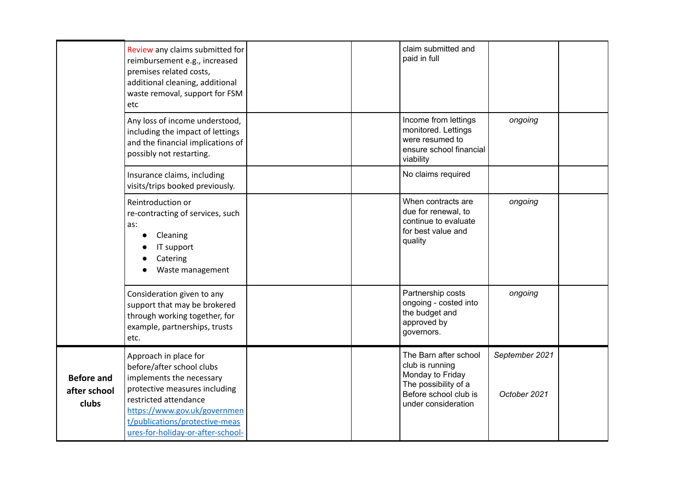|                                            | Review any claims submitted for<br>reimbursement e.g., increased<br>premises related costs,<br>additional cleaning, additional<br>waste removal, support for FSM<br>etc                                                                         |  | claim submitted and<br>paid in full                                                                                                  |                                |  |
|--------------------------------------------|-------------------------------------------------------------------------------------------------------------------------------------------------------------------------------------------------------------------------------------------------|--|--------------------------------------------------------------------------------------------------------------------------------------|--------------------------------|--|
|                                            | Any loss of income understood,<br>including the impact of lettings<br>and the financial implications of<br>possibly not restarting.                                                                                                             |  | Income from lettings<br>monitored. Lettings<br>were resumed to<br>ensure school financial<br>viability                               | ongoing                        |  |
|                                            | Insurance claims, including<br>visits/trips booked previously.                                                                                                                                                                                  |  | No claims required                                                                                                                   |                                |  |
|                                            | Reintroduction or<br>re-contracting of services, such<br>as:<br>Cleaning<br>IT support<br>Catering<br>Waste management                                                                                                                          |  | When contracts are<br>due for renewal, to<br>continue to evaluate<br>for best value and<br>quality                                   | ongoing                        |  |
|                                            | Consideration given to any<br>support that may be brokered<br>through working together, for<br>example, partnerships, trusts<br>etc.                                                                                                            |  | Partnership costs<br>ongoing - costed into<br>the budget and<br>approved by<br>governors.                                            | ongoing                        |  |
| <b>Before and</b><br>after school<br>clubs | Approach in place for<br>before/after school clubs<br>implements the necessary<br>protective measures including<br>restricted attendance<br>https://www.gov.uk/governmen<br>t/publications/protective-meas<br>ures-for-holiday-or-after-school- |  | The Barn after school<br>club is running<br>Monday to Friday<br>The possibility of a<br>Before school club is<br>under consideration | September 2021<br>October 2021 |  |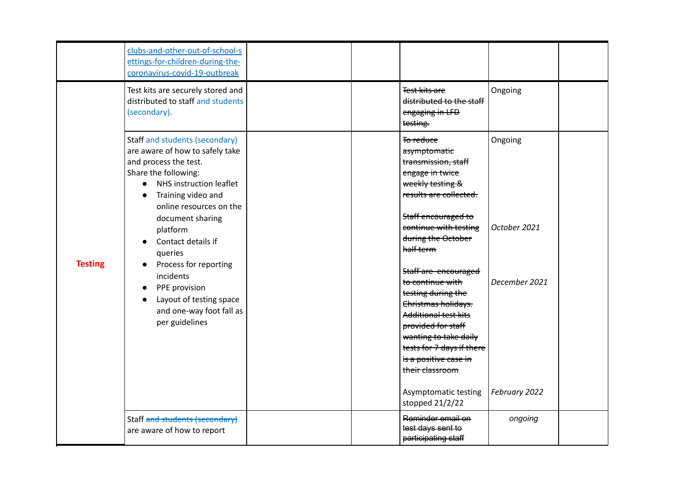|                | clubs-and-other-out-of-school-s<br>ettings-for-children-during-the-<br>coronavirus-covid-19-outbreak                                                                                                                                                                                                                                                                                                                             |                                                                                                                                                                                                                                                                                                                                                                                                                                                                                          |                                                           |  |
|----------------|----------------------------------------------------------------------------------------------------------------------------------------------------------------------------------------------------------------------------------------------------------------------------------------------------------------------------------------------------------------------------------------------------------------------------------|------------------------------------------------------------------------------------------------------------------------------------------------------------------------------------------------------------------------------------------------------------------------------------------------------------------------------------------------------------------------------------------------------------------------------------------------------------------------------------------|-----------------------------------------------------------|--|
|                | Test kits are securely stored and<br>distributed to staff and students<br>(secondary).                                                                                                                                                                                                                                                                                                                                           | Test kits are<br>distributed to the staff<br>engaging in LFD<br>testing.                                                                                                                                                                                                                                                                                                                                                                                                                 | Ongoing                                                   |  |
| <b>Testing</b> | <b>Staff and students (secondary)</b><br>are aware of how to safely take<br>and process the test.<br>Share the following:<br>NHS instruction leaflet<br>$\bullet$<br>Training video and<br>online resources on the<br>document sharing<br>platform<br>Contact details if<br>queries<br>Process for reporting<br>$\bullet$<br>incidents<br>PPE provision<br>Layout of testing space<br>and one-way foot fall as<br>per guidelines | To reduce<br>asymptomatic<br>transmission, staff<br>engage in twice<br>weekly testing &<br>results are collected.<br>Staff encouraged to<br>continue with testing<br>during the October<br>half term<br>Staff are encouraged<br>to continue with<br>testing during the<br>Christmas holidays.<br>Additional test kits<br>provided for staff<br>wanting to take daily<br>tests for 7 days if there<br>is a positive case in<br>their classroom<br>Asymptomatic testing<br>stopped 21/2/22 | Ongoing<br>October 2021<br>December 2021<br>February 2022 |  |
|                | Staff and students (secondary)<br>are aware of how to report                                                                                                                                                                                                                                                                                                                                                                     | Reminder email on<br>test days sent to<br>participating staff                                                                                                                                                                                                                                                                                                                                                                                                                            | ongoing                                                   |  |